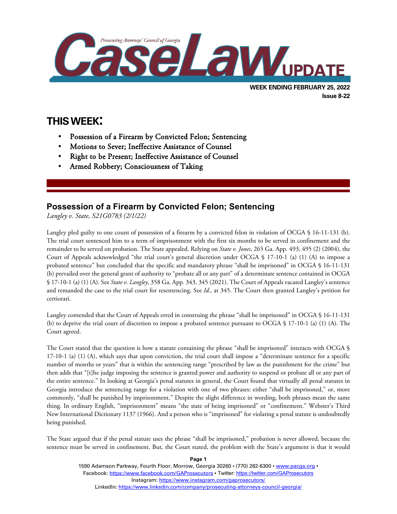

# **THIS WEEK:**

l

- Possession of a Firearm by Convicted Felon; Sentencing
- Motions to Sever; Ineffective Assistance of Counsel
- Right to be Present; Ineffective Assistance of Counsel
- Armed Robbery; Consciousness of Taking

## **Possession of a Firearm by Convicted Felon; Sentencing**

*Langley v. State, S21G0783 (2/1/22)*

Langley pled guilty to one count of possession of a firearm by a convicted felon in violation of OCGA § 16-11-131 (b). The trial court sentenced him to a term of imprisonment with the first six months to be served in confinement and the remainder to be served on probation. The State appealed. Relying on *State v. Jones*, 265 Ga. App. 493, 495 (2) (2004), the Court of Appeals acknowledged "the trial court's general discretion under OCGA § 17-10-1 (a) (1) (A) to impose a probated sentence" but concluded that the specific and mandatory phrase "shall be imprisoned" in OCGA § 16-11-131 (b) prevailed over the general grant of authority to "probate all or any part" of a determinate sentence contained in OCGA § 17-10-1 (a) (1) (A). See *State v. Langley*, 358 Ga. App. 343, 345 (2021). The Court of Appeals vacated Langley's sentence and remanded the case to the trial court for resentencing. See *Id*., at 345. The Court then granted Langley's petition for certiorari.

Langley contended that the Court of Appeals erred in construing the phrase "shall be imprisoned" in OCGA § 16-11-131 (b) to deprive the trial court of discretion to impose a probated sentence pursuant to OCGA § 17-10-1 (a) (1) (A). The Court agreed.

The Court stated that the question is how a statute containing the phrase "shall be imprisoned" interacts with OCGA § 17-10-1 (a) (1) (A), which says that upon conviction, the trial court shall impose a "determinate sentence for a specific number of months or years" that is within the sentencing range "prescribed by law as the punishment for the crime" but then adds that "[t]he judge imposing the sentence is granted power and authority to suspend or probate all or any part of the entire sentence." In looking at Georgia's penal statutes in general, the Court found that virtually all penal statutes in Georgia introduce the sentencing range for a violation with one of two phrases: either "shall be imprisoned," or, more commonly, "shall be punished by imprisonment." Despite the slight difference in wording, both phrases mean the same thing. In ordinary English, "imprisonment" means "the state of being imprisoned" or "confinement." Webster's Third New International Dictionary 1137 (1966). And a person who is "imprisoned" for violating a penal statute is undoubtedly being punished.

The State argued that if the penal statute uses the phrase "shall be imprisoned," probation is never allowed, because the sentence must be served in confinement. But, the Court stated, the problem with the State's argument is that it would

> 1590 Adamson Parkway, Fourth Floor, Morrow, Georgia 30260 · (770) 282-6300 · [www.pacga.org](http://www.pacga.org/) · Facebook:<https://www.facebook.com/GAProsecutors> . Twitter[: https://twitter.com/GAProsecutors](https://twitter.com/GAProsecutors) Instagram[: https://www.instagram.com/gaprosecutors/](https://www.instagram.com/gaprosecutors/) LinkedIn:<https://www.linkedin.com/company/prosecuting-attorneys-council-georgia/>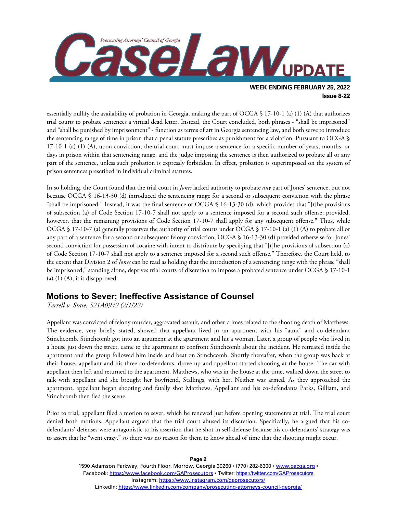

essentially nullify the availability of probation in Georgia, making the part of OCGA § 17-10-1 (a) (1) (A) that authorizes trial courts to probate sentences a virtual dead letter. Instead, the Court concluded, both phrases - "shall be imprisoned" and "shall be punished by imprisonment" - function as terms of art in Georgia sentencing law, and both serve to introduce the sentencing range of time in prison that a penal statute prescribes as punishment for a violation. Pursuant to OCGA § 17-10-1 (a) (1) (A), upon conviction, the trial court must impose a sentence for a specific number of years, months, or days in prison within that sentencing range, and the judge imposing the sentence is then authorized to probate all or any part of the sentence, unless such probation is expressly forbidden. In effect, probation is superimposed on the system of prison sentences prescribed in individual criminal statutes.

In so holding, the Court found that the trial court in *Jones* lacked authority to probate *any* part of Jones' sentence, but not because OCGA § 16-13-30 (d) introduced the sentencing range for a second or subsequent conviction with the phrase "shall be imprisoned." Instead, it was the final sentence of OCGA § 16-13-30 (d), which provides that "[t]he provisions of subsection (a) of Code Section 17-10-7 shall not apply to a sentence imposed for a second such offense; provided, however, that the remaining provisions of Code Section 17-10-7 shall apply for any subsequent offense." Thus, while OCGA § 17-10-7 (a) generally preserves the authority of trial courts under OCGA § 17-10-1 (a) (1) (A) to probate all or any part of a sentence for a second or subsequent felony conviction, OCGA § 16-13-30 (d) provided otherwise for Jones' second conviction for possession of cocaine with intent to distribute by specifying that "[t]he provisions of subsection (a) of Code Section 17-10-7 shall not apply to a sentence imposed for a second such offense." Therefore, the Court held, to the extent that Division 2 of *Jones* can be read as holding that the introduction of a sentencing range with the phrase "shall be imprisoned," standing alone, deprives trial courts of discretion to impose a probated sentence under OCGA § 17-10-1 (a)  $(1)$   $(A)$ , it is disapproved.

### **Motions to Sever; Ineffective Assistance of Counsel**

*Terrell v. State, S21A0942 (2/1/22)*

Appellant was convicted of felony murder, aggravated assault, and other crimes related to the shooting death of Matthews. The evidence, very briefly stated, showed that appellant lived in an apartment with his "aunt" and co-defendant Stinchcomb. Stinchcomb got into an argument at the apartment and hit a woman. Later, a group of people who lived in a house just down the street, came to the apartment to confront Stinchcomb about the incident. He retreated inside the apartment and the group followed him inside and beat on Stinchcomb. Shortly thereafter, when the group was back at their house, appellant and his three co-defendants, drove up and appellant started shooting at the house. The car with appellant then left and returned to the apartment. Matthews, who was in the house at the time, walked down the street to talk with appellant and she brought her boyfriend, Stallings, with her. Neither was armed. As they approached the apartment, appellant began shooting and fatally shot Matthews. Appellant and his co-defendants Parks, Gilliam, and Stinchcomb then fled the scene.

Prior to trial, appellant filed a motion to sever, which he renewed just before opening statements at trial. The trial court denied both motions. Appellant argued that the trial court abused its discretion. Specifically, he argued that his codefendants' defenses were antagonistic to his assertion that he shot in self-defense because his co-defendants' strategy was to assert that he "went crazy," so there was no reason for them to know ahead of time that the shooting might occur.

> 1590 Adamson Parkway, Fourth Floor, Morrow, Georgia 30260 · (770) 282-6300 · [www.pacga.org](http://www.pacga.org/) · Facebook:<https://www.facebook.com/GAProsecutors> . Twitter[: https://twitter.com/GAProsecutors](https://twitter.com/GAProsecutors) Instagram[: https://www.instagram.com/gaprosecutors/](https://www.instagram.com/gaprosecutors/) LinkedIn:<https://www.linkedin.com/company/prosecuting-attorneys-council-georgia/>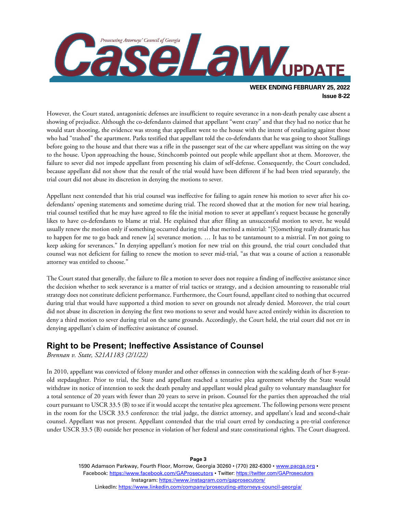

However, the Court stated, antagonistic defenses are insufficient to require severance in a non-death penalty case absent a showing of prejudice. Although the co-defendants claimed that appellant "went crazy" and that they had no notice that he would start shooting, the evidence was strong that appellant went to the house with the intent of retaliating against those who had "trashed" the apartment. Parks testified that appellant told the co-defendants that he was going to shoot Stallings before going to the house and that there was a rifle in the passenger seat of the car where appellant was sitting on the way to the house. Upon approaching the house, Stinchcomb pointed out people while appellant shot at them. Moreover, the failure to sever did not impede appellant from presenting his claim of self-defense. Consequently, the Court concluded, because appellant did not show that the result of the trial would have been different if he had been tried separately, the trial court did not abuse its discretion in denying the motions to sever.

Appellant next contended that his trial counsel was ineffective for failing to again renew his motion to sever after his codefendants' opening statements and sometime during trial. The record showed that at the motion for new trial hearing, trial counsel testified that he may have agreed to file the initial motion to sever at appellant's request because he generally likes to have co-defendants to blame at trial. He explained that after filing an unsuccessful motion to sever, he would usually renew the motion only if something occurred during trial that merited a mistrial: "[S]omething really dramatic has to happen for me to go back and renew [a] severance motion. … It has to be tantamount to a mistrial. I'm not going to keep asking for severances." In denying appellant's motion for new trial on this ground, the trial court concluded that counsel was not deficient for failing to renew the motion to sever mid-trial, "as that was a course of action a reasonable attorney was entitled to choose."

The Court stated that generally, the failure to file a motion to sever does not require a finding of ineffective assistance since the decision whether to seek severance is a matter of trial tactics or strategy, and a decision amounting to reasonable trial strategy does not constitute deficient performance. Furthermore, the Court found, appellant cited to nothing that occurred during trial that would have supported a third motion to sever on grounds not already denied. Moreover, the trial court did not abuse its discretion in denying the first two motions to sever and would have acted entirely within its discretion to deny a third motion to sever during trial on the same grounds. Accordingly, the Court held, the trial court did not err in denying appellant's claim of ineffective assistance of counsel.

### **Right to be Present; Ineffective Assistance of Counsel**

*Brennan v. State, S21A1183 (2/1/22)*

In 2010, appellant was convicted of felony murder and other offenses in connection with the scalding death of her 8-yearold stepdaughter. Prior to trial, the State and appellant reached a tentative plea agreement whereby the State would withdraw its notice of intention to seek the death penalty and appellant would plead guilty to voluntary manslaughter for a total sentence of 20 years with fewer than 20 years to serve in prison. Counsel for the parties then approached the trial court pursuant to USCR 33.5 (B) to see if it would accept the tentative plea agreement. The following persons were present in the room for the USCR 33.5 conference: the trial judge, the district attorney, and appellant's lead and second-chair counsel. Appellant was not present. Appellant contended that the trial court erred by conducting a pre-trial conference under USCR 33.5 (B) outside her presence in violation of her federal and state constitutional rights. The Court disagreed.

> 1590 Adamson Parkway, Fourth Floor, Morrow, Georgia 30260 · (770) 282-6300 · [www.pacga.org](http://www.pacga.org/) · Facebook:<https://www.facebook.com/GAProsecutors> . Twitter[: https://twitter.com/GAProsecutors](https://twitter.com/GAProsecutors) Instagram[: https://www.instagram.com/gaprosecutors/](https://www.instagram.com/gaprosecutors/) LinkedIn:<https://www.linkedin.com/company/prosecuting-attorneys-council-georgia/>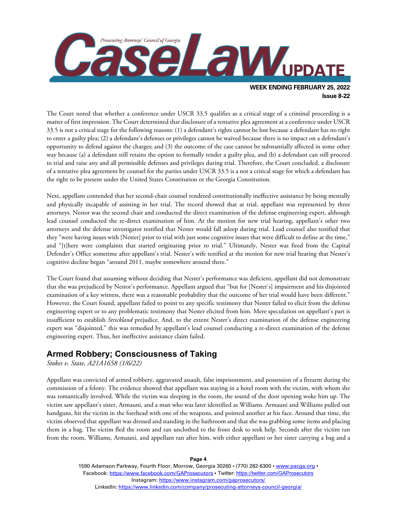

The Court noted that whether a conference under USCR 33.5 qualifies as a critical stage of a criminal proceeding is a matter of first impression. The Court determined that disclosure of a tentative plea agreement at a conference under USCR 33.5 is not a critical stage for the following reasons: (1) a defendant's rights cannot be lost because a defendant has no right to enter a guilty plea; (2) a defendant's defenses or privileges cannot be waived because there is no impact on a defendant's opportunity to defend against the charges; and (3) the outcome of the case cannot be substantially affected in some other way because (a) a defendant still retains the option to formally tender a guilty plea, and (b) a defendant can still proceed to trial and raise any and all permissible defenses and privileges during trial. Therefore, the Court concluded, a disclosure of a tentative plea agreement by counsel for the parties under USCR 33.5 is a not a critical stage for which a defendant has the right to be present under the United States Constitution or the Georgia Constitution.

Next, appellant contended that her second-chair counsel rendered constitutionally ineffective assistance by being mentally and physically incapable of assisting in her trial. The record showed that at trial, appellant was represented by three attorneys. Nestor was the second chair and conducted the direct examination of the defense engineering expert, although lead counsel conducted the re-direct examination of him. At the motion for new trial hearing, appellant's other two attorneys and the defense investigator testified that Nester would fall asleep during trial. Lead counsel also testified that they "were having issues with [Nester] prior to trial with just some cognitive issues that were difficult to define at the time," and "[t]here were complaints that started originating prior to trial." Ultimately, Nester was fired from the Capital Defender's Office sometime after appellant's trial. Nester's wife testified at the motion for new trial hearing that Nester's cognitive decline began "around 2011, maybe somewhere around there."

The Court found that assuming without deciding that Nester's performance was deficient, appellant did not demonstrate that she was prejudiced by Nestor's performance. Appellant argued that "but for [Nester's] impairment and his disjointed examination of a key witness, there was a reasonable probability that the outcome of her trial would have been different." However, the Court found, appellant failed to point to any specific testimony that Nester failed to elicit from the defense engineering expert or to any problematic testimony that Nester elicited from him. Mere speculation on appellant's part is insufficient to establish *Strickland* prejudice. And, to the extent Nester's direct examination of the defense engineering expert was "disjointed," this was remedied by appellant's lead counsel conducting a re-direct examination of the defense engineering expert. Thus, her ineffective assistance claim failed.

### **Armed Robbery; Consciousness of Taking**

*Stokes v. State, A21A1658 (1/6/22)*

Appellant was convicted of armed robbery, aggravated assault, false imprisonment, and possession of a firearm during the commission of a felony. The evidence showed that appellant was staying in a hotel room with the victim, with whom she was romantically involved. While the victim was sleeping in the room, the sound of the door opening woke him up. The victim saw appellant's sister, Armauni, and a man who was later identified as Williams. Armauni and Williams pulled out handguns, hit the victim in the forehead with one of the weapons, and pointed another at his face. Around that time, the victim observed that appellant was dressed and standing in the bathroom and that she was grabbing some items and placing them in a bag. The victim fled the room and ran unclothed to the front desk to seek help. Seconds after the victim ran from the room, Williams, Armauni, and appellant ran after him, with either appellant or her sister carrying a bag and a